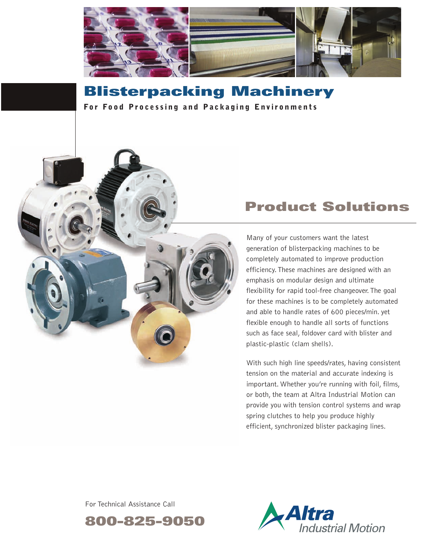

# **Blisterpacking Machinery**

**For Food Processing and Packaging Environments** 

## **Product Solutions**

Many of your customers want the latest generation of blisterpacking machines to be completely automated to improve production efficiency.These machines are designed with an emphasis on modular design and ultimate flexibility for rapid tool-free changeover.The goal for these machines is to be completely automated and able to handle rates of 600 pieces/min. yet flexible enough to handle all sorts of functions such as face seal, foldover card with blister and plastic-plastic (clam shells).

With such high line speeds/rates, having consistent tension on the material and accurate indexing is important. Whether you're running with foil, films, or both, the team at Altra Industrial Motion can provide you with tension control systems and wrap spring clutches to help you produce highly efficient, synchronized blister packaging lines.

For Technical Assistance Call